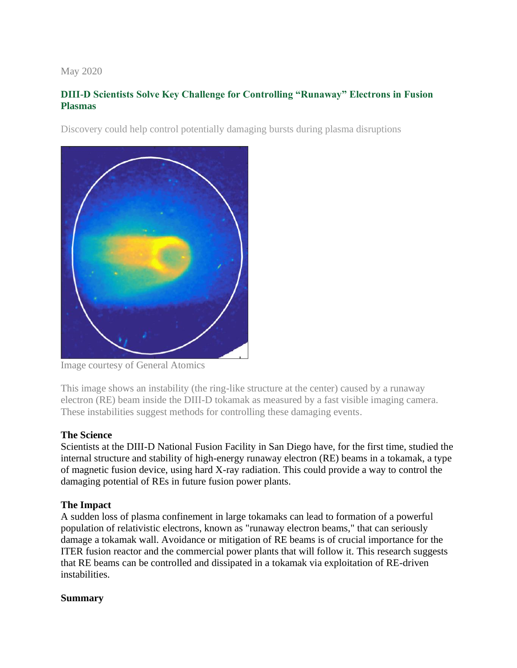## May 2020

# **DIII-D Scientists Solve Key Challenge for Controlling "Runaway" Electrons in Fusion Plasmas**

Discovery could help control potentially damaging bursts during plasma disruptions



Image courtesy of General Atomics

This image shows an instability (the ring-like structure at the center) caused by a runaway electron (RE) beam inside the DIII-D tokamak as measured by a fast visible imaging camera. These instabilities suggest methods for controlling these damaging events.

## **The Science**

Scientists at the DIII-D National Fusion Facility in San Diego have, for the first time, studied the internal structure and stability of high-energy runaway electron (RE) beams in a tokamak, a type of magnetic fusion device, using hard X-ray radiation. This could provide a way to control the damaging potential of REs in future fusion power plants.

## **The Impact**

A sudden loss of plasma confinement in large tokamaks can lead to formation of a powerful population of relativistic electrons, known as "runaway electron beams," that can seriously damage a tokamak wall. Avoidance or mitigation of RE beams is of crucial importance for the ITER fusion reactor and the commercial power plants that will follow it. This research suggests that RE beams can be controlled and dissipated in a tokamak via exploitation of RE-driven instabilities.

## **Summary**